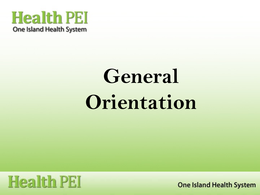### **Health PEI** One Island Health System

# **General Orientation**

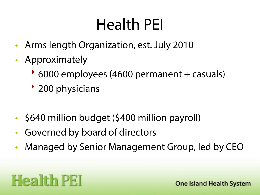# Health PEI

- Arms length Organization, est. July 2010
- Approximately
	- 6000 employees (4600 permanent + casuals)
	- 200 physicians
- \$640 million budget (\$400 million payroll)
- Governed by board of directors
- Managed by Senior Management Group, led by CEO

# **Health PEI**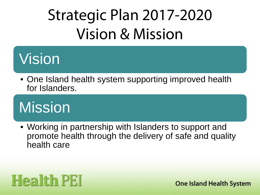# Strategic Plan 2017-2020 Vision & Mission

### **Vision**

• One Island health system supporting improved health for Islanders.

# Mission

• Working in partnership with Islanders to support and promote health through the delivery of safe and quality health care

## **Health PEI**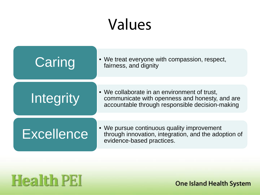# Values



### **Health PEI**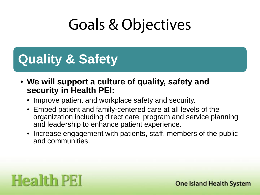# Goals & Objectives

### **Quality & Safety**

- **We will support a culture of quality, safety and security in Health PEI:**
	- Improve patient and workplace safety and security.
	- Embed patient and family-centered care at all levels of the organization including direct care, program and service planning and leadership to enhance patient experience.
	- Increase engagement with patients, staff, members of the public and communities.

### **Health PEI**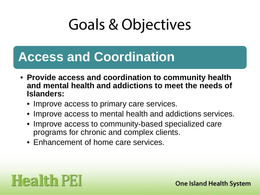# Goals & Objectives

### **Access and Coordination**

- **Provide access and coordination to community health and mental health and addictions to meet the needs of Islanders:**
	- Improve access to primary care services.
	- Improve access to mental health and addictions services.
	- Improve access to community-based specialized care programs for chronic and complex clients.
	- Enhancement of home care services.

### **Health PEI**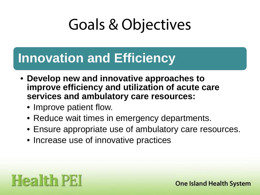# Goals & Objectives

### **Innovation and Efficiency**

- **Develop new and innovative approaches to improve efficiency and utilization of acute care services and ambulatory care resources:** 
	- Improve patient flow.
	- Reduce wait times in emergency departments.
	- Ensure appropriate use of ambulatory care resources.
	- Increase use of innovative practices

### **Health PEI**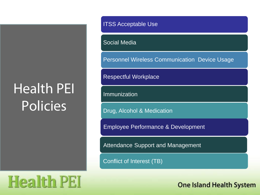### Health PEI Policies

ITSS Acceptable Use

Social Media

Personnel Wireless Communication Device Usage

Respectful Workplace

Immunization

Drug, Alcohol & Medication

Employee Performance & Development

Attendance Support and Management

the actual/expected start date as soon as possible

Conflict of Interest (TB)

**Health PEI**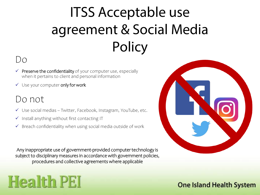## ITSS Acceptable use agreement & Social Media **Policy**

### $D_{\Omega}$

- $\checkmark$  Preserve the confidentiality of your computer use, especially when it pertains to client and personal information
- $\checkmark$  Use your computer only for work

### Do not

- Use social medias Twitter, Facebook, Instagram, YouTube, etc.
- $\checkmark$  Install anything without first contacting IT
- $\checkmark$  Breach confidentiality when using social media outside of work

Any inappropriate use of government-provided computer technology is subject to disciplinary measures in accordance with government policies, procedures and collective agreements where applicable

# **Health PEI**

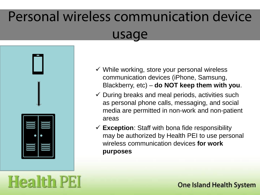### Personal wireless communication device usage



**Health PEI** 

- $\checkmark$  While working, store your personal wireless communication devices (iPhone, Samsung, Blackberry, etc) – **do NOT keep them with you**.
- $\checkmark$  During breaks and meal periods, activities such as personal phone calls, messaging, and social media are permitted in non-work and non-patient areas
- **Exception**: Staff with bona fide responsibility may be authorized by Health PEI to use personal wireless communication devices **for work purposes**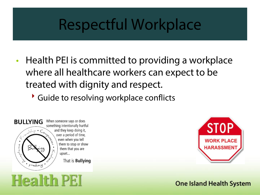### Respectful Workplace

- Health PEI is committed to providing a workplace where all healthcare workers can expect to be treated with dignity and respect.
	- Guide to resolving workplace conflicts



**Health PEI** 

When someone says or does something intentionally hurtful and they keep doing it, over a period of time, even when you tell them to stop or show them that you are upset...

That is **Bullying** 

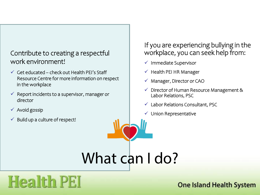### Contribute to creating a respectful work environment!

- $\checkmark$  Get educated check out Health PEI's Staff Resource Centre for more information on respect in the workplace
- $\checkmark$  Report incidents to a supervisor, manager or director
- $\checkmark$  Avoid gossip
- $\checkmark$  Build up a culture of respect!

### If you are experiencing bullying in the workplace, you can seek help from:

- $\checkmark$  Immediate Supervisor
- $\checkmark$  Health PEI HR Manager
- $\checkmark$  Manager, Director or CAO
- $\checkmark$  Director of Human Resource Management & Labor Relations, PSC
- $\checkmark$  Labor Relations Consultant, PSC
- $\checkmark$  Union Representative

What can I do?

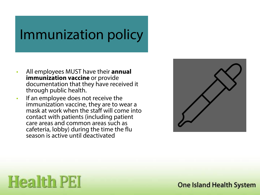### Immunization policy

- All employees MUST have their **annual immunization vaccine** or provide documentation that they have received it through public health.
- If an employee does not receive the immunization vaccine, they are to wear a mask at work when the staff will come into contact with patients (including patient care areas and common areas such as cafeteria, lobby) during the time the flu season is active until deactivated



# **Health PEI**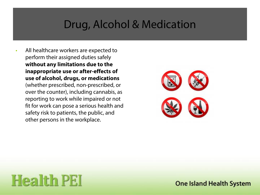### Drug, Alcohol & Medication

• All healthcare workers are expected to perform their assigned duties safely **without any limitations due to the inappropriate use or after-effects of use of alcohol, drugs, or medications**  (whether prescribed, non-prescribed, or over the counter), including cannabis, as reporting to work while impaired or not fit for work can pose a serious health and safety risk to patients, the public, and other persons in the workplace.



### **Health PEI**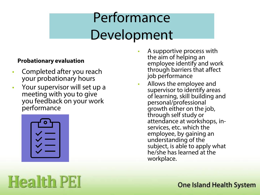### Performance Development

#### **Probationary evaluation**

- Completed after you reach your probationary hours
- Your supervisor will set up a meeting with you to give you feedback on your work performance

| ٥ |
|---|
|   |
|   |
|   |

**Health PEI** 

- A supportive process with the aim of helping an employee identify and work through barriers that affect job performance
	- Allows the employee and supervisor to identify areas of learning, skill building and personal/professional growth either on the job, through self study or attendance at workshops, in- services, etc. which the employee, by gaining an understanding of the subject, is able to apply what he/she has learned at the workplace.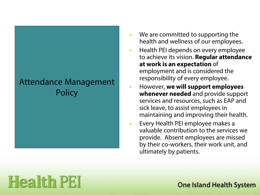### Attendance Management **Policy**

- We are committed to supporting the health and wellness of our employees.
- Health PEI depends on every employee to achieve its vision. **Regular attendance at work is an expectation** of employment and is considered the responsibility of every employee.
- However, **we will support employees whenever needed** and provide support services and resources, such as EAP and sick leave, to assist employees in maintaining and improving their health.
- Every Health PEI employee makes a valuable contribution to the services we provide. Absent employees are missed by their co-workers, their work unit, and ultimately by patients.

## **Health PEI**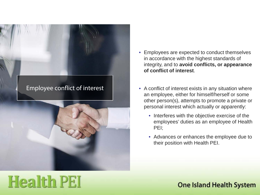



- Employees are expected to conduct themselves in accordance with the highest standards of integrity, and to **avoid conflicts, or appearance of conflict of interest**.
- A conflict of interest exists in any situation where an employee, either for himself/herself or some other person(s), attempts to promote a private or personal interest which actually or apparently:
	- Interferes with the objective exercise of the employees' duties as an employee of Health PEI;
	- Advances or enhances the employee due to their position with Health PEI.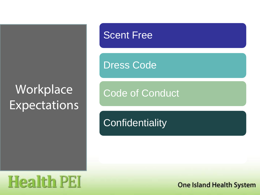### **Workplace** Expectations

### Scent Free

Dress Code

Code of Conduct

**Confidentiality** 

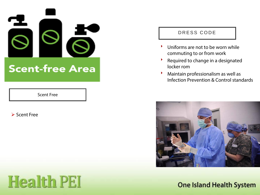

#### Scent Free

**Health PEI** 

#### **▶ Scent Free**

#### DRESS CODE

- $\blacktriangleright$  Uniforms are not to be worn while commuting to or from work
- Required to change in a designated locker rom
- Maintain professionalism as well as Infection Prevention & Control standards

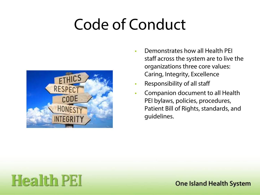# Code of Conduct



- Demonstrates how all Health PEI staff across the system are to live the organizations three core values: Caring, Integrity, Excellence
- Responsibility of all staff
- Companion document to all Health PEI bylaws, policies, procedures, Patient Bill of Rights, standards, and guidelines.

### **Health PEI**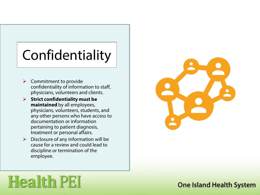# Confidentiality

- $\triangleright$  Commitment to provide confidentiality of information to staff, physicians, volunteers and clients.
- **Strict confidentiality must be maintained** by all employees, physicians, volunteers, students, and any other persons who have access to documentation or information pertaining to patient diagnosis, treatment or personal affairs.
- $\triangleright$  Disclosure of any information will be cause for a review and could lead to discipline or termination of the employee.



### **Health PEI**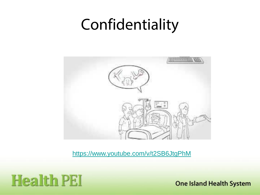### Confidentiality



<https://www.youtube.com/v/t2SB6JtgPhM>

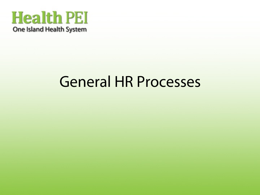### **Health PEI** One Island Health System

### General HR Processes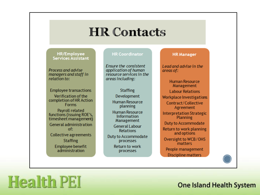### **HR Contacts**

#### **HR/Employee Services Assistant**

Process and advise managers and staff in relation to:

**Employee transactions** Verification of the completion of HR Action **Forms Payroll related** functions (issuing ROE's, timesheet management)

**General administration** of: Collective agreements **Staffing** Employee benefit administration

**Health PEI** 

#### **HR Coordinator**

**Ensure the consistent** application of human resource services in the areas including:

**Staffing** Development **Human Resource** planning **Human Resource Information** Management **General Labour Relations Duty to Accommodate** processes **Return to work** processes

#### **HR** Manager

Lead and advise in the areas of:

**Human Resource** Management **Labour Relations Workplace Investigations** Contract/Collective Agreement **Interpretation Strategic** Planning **Duty to Accommodate** Return to work planning and options Oversight to WCB/OHS matters People management **Discipline matters**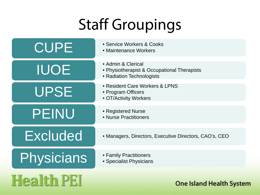# Staff Groupings

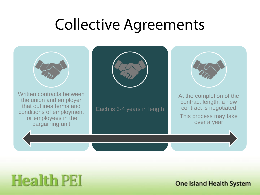### Collective Agreements



### **Health PEI**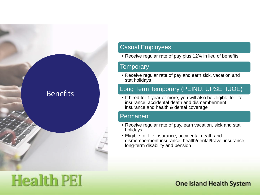

#### Casual Employees

• Receive regular rate of pay plus 12% in lieu of benefits

#### Temporary

• Receive regular rate of pay and earn sick, vacation and stat holidays

#### Long Term Temporary (PEINU, UPSE, IUOE)

• If hired for 1 year or more, you will also be eligible for life insurance, accidental death and dismemberment insurance and health & dental coverage

#### Permanent

- Receive regular rate of pay, earn vacation, sick and stat holidays
- Eligible for life insurance, accidental death and dismemberment insurance, health/dental/travel insurance, long-term disability and pension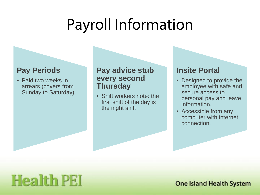### Payroll Information

### **Pay Periods**

• Paid two weeks in arrears (covers from Sunday to Saturday)

### **Pay advice stub every second Thursday**

• Shift workers note: the first shift of the day is the night shift

### **Insite Portal**

- Designed to provide the employee with safe and secure access to personal pay and leave information.
- Accessible from any computer with internet connection.

### **Health PEI**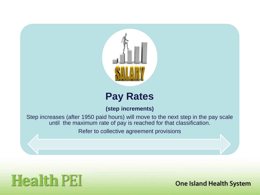

### **Pay Rates**

**(step increments)**

Step increases (after 1950 paid hours) will move to the next step in the pay scale until the maximum rate of pay is reached for that classification.

Refer to collective agreement provisions

### **Health PEI**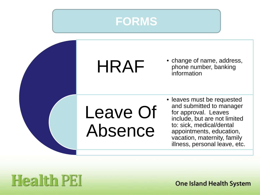



### **Health PEI**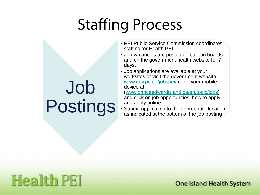# Staffing Process

- PEI Public Service Commission coordinates staffing for Health PEI.
- Job vacancies are posted on bulletin boards and on the government health website for 7 days.
- Job applications are available at your worksites or visit the government website [www.gov.pe.ca/jobspei/](http://www.gov.pe.ca/jobspei/) or on your mobile device at

[\(www.princeedwardisland.ca/en/topic/jobs\)](http://www.princedwardisland.ca/en/topic/jobs) and click on job opportunities, how to apply and apply online.

• Submit application to the appropriate location as indicated at the bottom of the job posting

## Job Postings

### **Health PEI**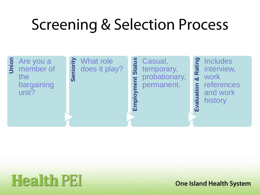# Screening & Selection Process

### **S** Are you a<br>**5** member of the bargaining unit?

### **Sending**<br>**Senion**<br>**Senion**<br>Senion<br>Senion<br>Senion<br>Senion<br>Senion<br>Senion<br>Senion<br>Senion<br>Senion<br>Senion<br>Senion<br>Senion<br>Senion<br>Senion<br>Senion<br>Senion<br>Senion<br>Senion<br>Senion<br>Senion<br>Senion<br>Senion<br>Senion<br>Senion<br>Senion<br>Senion<br>Senion<br>Senio does it play?

**Example 13**<br> **Employer State State Seminary**<br> **Example State State Seminary**<br> **Example State State**<br> **Example State**<br> **Example State** temporary, probationary, permanent.

**Evaluation**<br> **Evaluation**<br> **Evaluation Work**<br> **Evaluation Work**<br> **Evaluation**<br> **Evaluation**<br> **Evaluation**<br> **Evaluation** interview, work references and work history

# **Health PEI**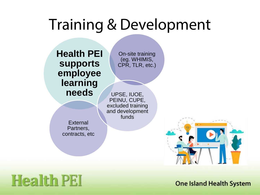### Training & Development

**Health PEI supports employee learning needs**

On-site training (eg. WHIMIS, CPR, TLR, etc.)

UPSE, IUOE, PEINU, CUPE, excluded training and development funds

**External** Partners, contracts, etc

### **Health PEI**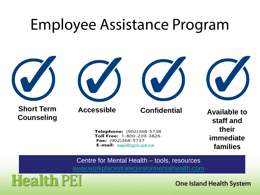### Employee Assistance Program



E-mail: eap@gov.pe.ca

Centre for Mental Health – tools, resources [www.workplacestrategiesformentalhealth.com](http://www.workplacestrategiesformentalhealth.com/)

**families**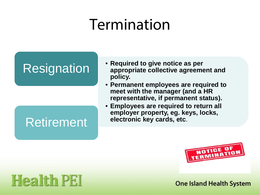## Termination

### **Resignation**

### Retirement

- **Required to give notice as per appropriate collective agreement and policy.**
- **Permanent employees are required to meet with the manager (and a HR representative, if permanent status).**
- **Employees are required to return all employer property, eg. keys, locks, electronic key cards, etc**.



### **Health PEI**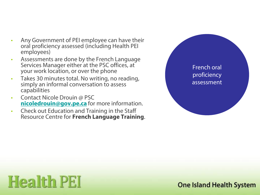- Any Government of PEI employee can have their oral proficiency assessed (including Health PEI employees)
- Assessments are done by the French Language Services Manager either at the PSC offices, at your work location, or over the phone
- Takes 30 minutes total. No writing, no reading, simply an informal conversation to assess capabilities
- Contact Nicole Drouin @ PSC **[nicoledrouin@gov.pe.ca](mailto:nicoledrouin@gov.pe.ca)** for more information.
- Check out Education and Training in the Staff Resource Centre for **French Language Training**.



# **Health PEI**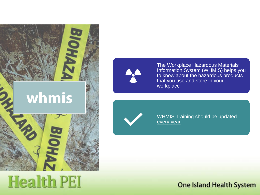

### **Health PEI**



The Workplace Hazardous Materials Information System (WHMIS) helps you to know about the hazardous products that you use and store in your workplace



WHMIS Training should be updated every year